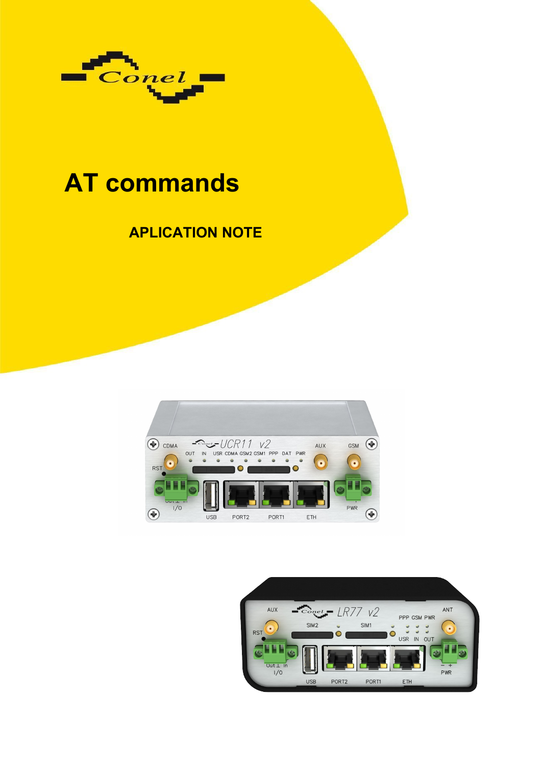

# **AT commands**

## **APLICATION NOTE**



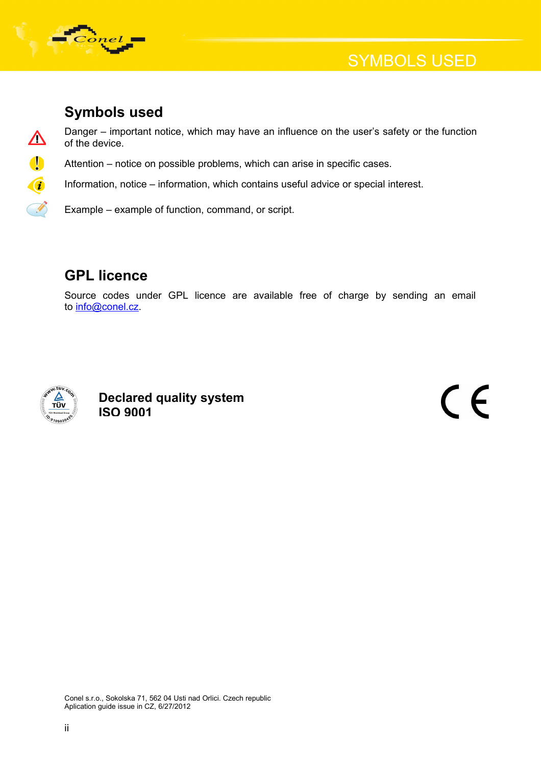

 $\boldsymbol{\Delta}$ 

00

## **Symbols used**

Danger – important notice, which may have an influence on the user's safety or the function of the device.

Attention – notice on possible problems, which can arise in specific cases.

Information, notice – information, which contains useful advice or special interest.

Example – example of function, command, or script.

## **GPL licence**

Source codes under GPL licence are available free of charge by sending an email to [info@conel.cz.](mailto:info@conel.cz)



**Declared quality system ISO 9001**

 $\epsilon$ 

Conel s.r.o., Sokolska 71, 562 04 Usti nad Orlici. Czech republic Aplication guide issue in CZ, 6/27/2012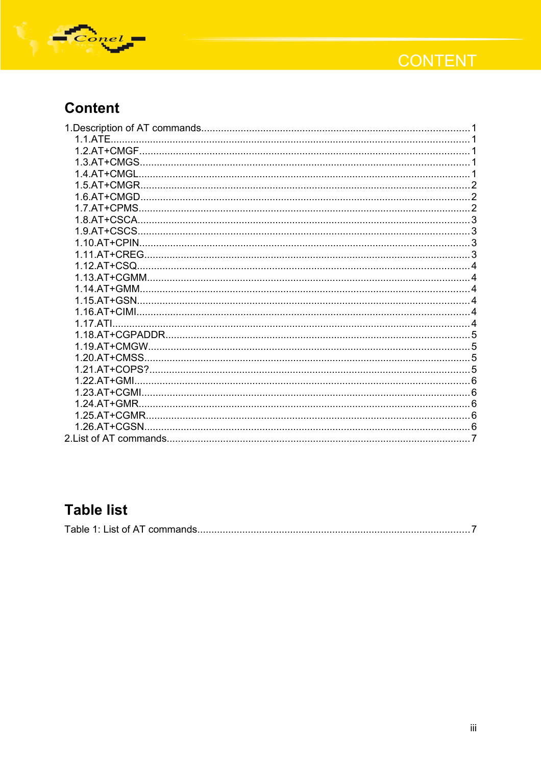

## **CONTENT**

## **Content**

| 1 1 ATF       |  |
|---------------|--|
|               |  |
|               |  |
| 1.4.AT+CMGL   |  |
| 1.5.AT+CMGR.  |  |
|               |  |
| 1.7.AT+CPMS   |  |
| 1.8.AT+CSCA.  |  |
| 1.9.AT+CSCS.  |  |
|               |  |
|               |  |
| 1.12.AT+CSQ.  |  |
|               |  |
|               |  |
| 1.15.AT+GSN.  |  |
|               |  |
| 1.17 ATL      |  |
|               |  |
|               |  |
|               |  |
|               |  |
| $122$ AT+GMI  |  |
|               |  |
| 1.24.AT+GMR.  |  |
| 1.25.AT+CGMR. |  |
| 1.26.AT+CGSN  |  |
|               |  |
|               |  |

## **Table list**

|--|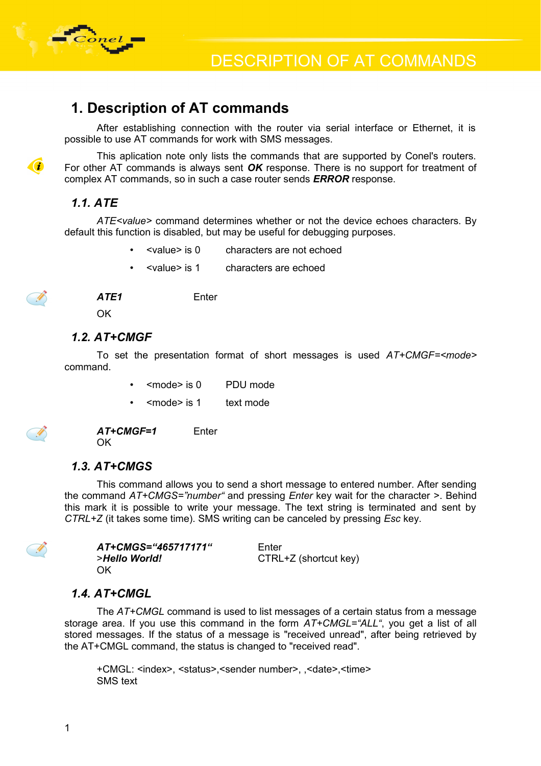

### **1. Description of AT commands**

After establishing connection with the router via serial interface or Ethernet, it is possible to use AT commands for work with SMS messages.

This aplication note only lists the commands that are supported by Conel's routers. For other AT commands is always sent *OK* response. There is no support for treatment of complex AT commands, so in such a case router sends *ERROR* response.

#### *1.1. ATE*

*ATE<value>* command determines whether or not the device echoes characters. By default this function is disabled, but may be useful for debugging purposes.

- <value> is 0 characters are not echoed
- <value> is 1 characters are echoed



 $\mathcal{C}$ 

*ATE1* Enter

OK

#### *1.2. AT+CMGF*

To set the presentation format of short messages is used *AT+CMGF=<mode>* command.

- <mode> is 0 PDU mode
- <mode> is 1 text mode

AT+CMGF=1 Enter OK

#### *1.3. AT+CMGS*

This command allows you to send a short message to entered number. After sending the command *AT+CMGS="number"* and pressing *Enter* key wait for the character >. Behind this mark it is possible to write your message. The text string is terminated and sent by *CTRL+Z* (it takes some time). SMS writing can be canceled by pressing *Esc* key.

| AT+CMGS="465717171" | Enter                 |
|---------------------|-----------------------|
| >Hello World!       | CTRL+Z (shortcut key) |
| OK.                 |                       |

#### *1.4. AT+CMGL*

The *AT+CMGL* command is used to list messages of a certain status from a message storage area. If you use this command in the form *AT+CMGL="ALL"*, you get a list of all stored messages. If the status of a message is "received unread", after being retrieved by the AT+CMGL command, the status is changed to "received read".

+CMGL: <index>, <status>,<sender number>, ,<date>,<time> SMS text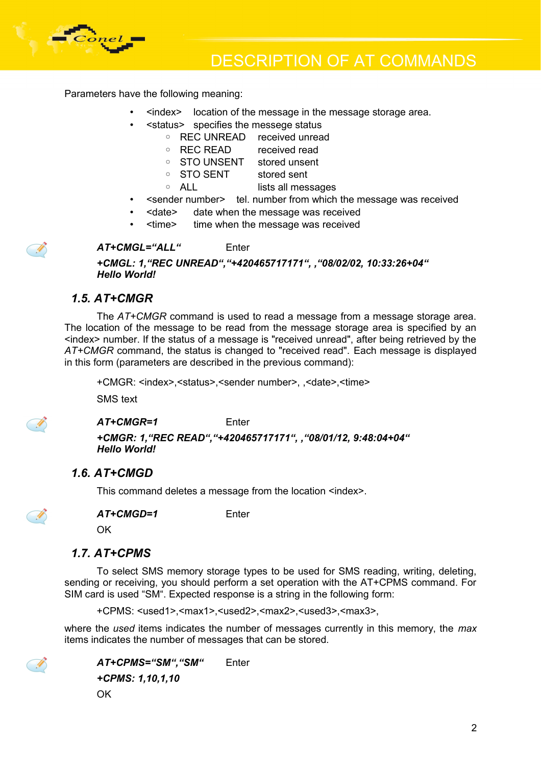

Parameters have the following meaning:

- <index> location of the message in the message storage area.
- <status> specifies the messege status
	- REC UNREAD received unread
		- REC READ received read
		- STO UNSENT stored unsent
		- STO SENT stored sent
		- ALL lists all messages
- <sender number> tel. number from which the message was received
- <date> date when the message was received
- <time> time when the message was received

#### *AT+CMGL="ALL"* Enter

*+CMGL: 1,"REC UNREAD","+420465717171", ,"08/02/02, 10:33:26+04" Hello World!*

#### *1.5. AT+CMGR*

The *AT+CMGR* command is used to read a message from a message storage area. The location of the message to be read from the message storage area is specified by an <index> number. If the status of a message is "received unread", after being retrieved by the *AT+CMGR* command, the status is changed to "received read". Each message is displayed in this form (parameters are described in the previous command):

+CMGR: <index>,<status>,<sender number>, ,<date>,<time>

SMS text



- D

#### *AT+CMGR=1* Enter

*+CMGR: 1,"REC READ","+420465717171", ,"08/01/12, 9:48:04+04" Hello World!*

#### *1.6. AT+CMGD*

This command deletes a message from the location <index>.



*AT+CMGD=1* Enter

OK

#### *1.7. AT+CPMS*

To select SMS memory storage types to be used for SMS reading, writing, deleting, sending or receiving, you should perform a set operation with the AT+CPMS command. For SIM card is used "SM". Expected response is a string in the following form:

+CPMS: <used1>,<max1>,<used2>,<max2>,<used3>,<max3>,

where the *used* items indicates the number of messages currently in this memory, the *max* items indicates the number of messages that can be stored.



*AT+CPMS="SM","SM"* Enter *+CPMS: 1,10,1,10* OK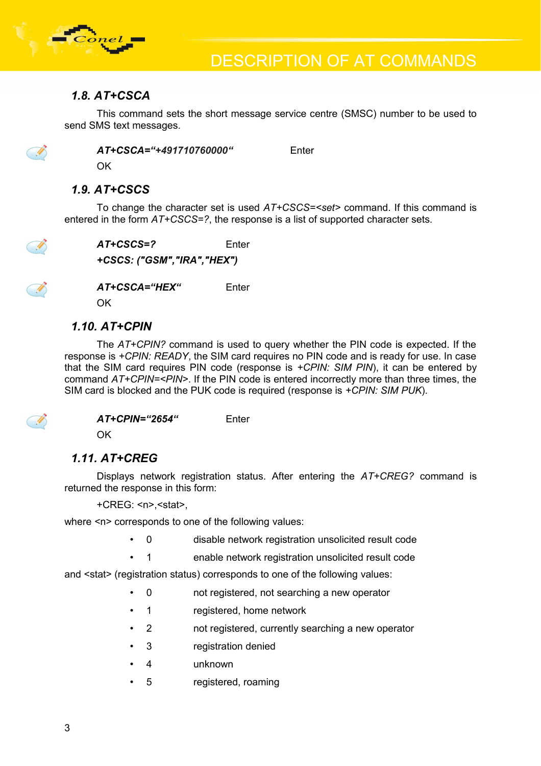

#### *1.8. AT+CSCA*

This command sets the short message service centre (SMSC) number to be used to send SMS text messages.

I

*AT+CSCA="+491710760000"* Enter

OK

#### *1.9. AT+CSCS*

To change the character set is used *AT+CSCS=<set>* command. If this command is entered in the form *AT+CSCS=?*, the response is a list of supported character sets.



*AT+CSCS=?* Enter *+CSCS: ("GSM","IRA","HEX")* 

*AT+CSCA="HEX"* Enter

OK

#### *1.10. AT+CPIN*

The *AT+CPIN?* command is used to query whether the PIN code is expected. If the response is *+CPIN: READY*, the SIM card requires no PIN code and is ready for use. In case that the SIM card requires PIN code (response is *+CPIN: SIM PIN*), it can be entered by command *AT+CPIN=<PIN>*. If the PIN code is entered incorrectly more than three times, the SIM card is blocked and the PUK code is required (response is *+CPIN: SIM PUK*).



#### *AT+CPIN="2654"* Enter

OK

#### *1.11. AT+CREG*

Displays network registration status. After entering the *AT+CREG?* command is returned the response in this form:

+CREG: <n>,<stat>,

where <n> corresponds to one of the following values:

- 0 disable network registration unsolicited result code
	- 1 enable network registration unsolicited result code

and <stat> (registration status) corresponds to one of the following values:

- 0 not registered, not searching a new operator
- 1 registered, home network
- 2 not registered, currently searching a new operator
- 3 registration denied
- 4 unknown
- 5 registered, roaming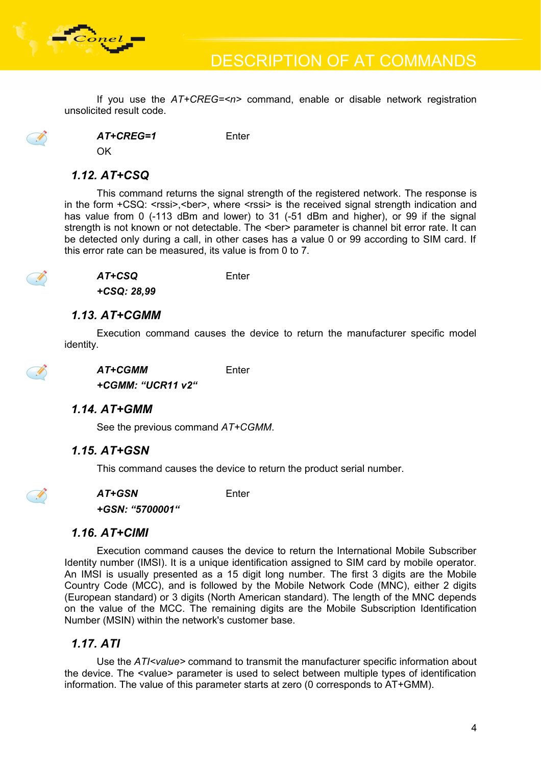

If you use the *AT+CREG=<n>* command, enable or disable network registration unsolicited result code.



*AT+CREG=1* Enter

OK

#### *1.12. AT+CSQ*

This command returns the signal strength of the registered network. The response is in the form  $+CSQ$ :  $\leq$ rssi $\geq$ , $\leq$ ber $\geq$ , where  $\leq$ rssi $\geq$  is the received signal strength indication and has value from 0 (-113 dBm and lower) to 31 (-51 dBm and higher), or 99 if the signal strength is not known or not detectable. The <ber> parameter is channel bit error rate. It can be detected only during a call, in other cases has a value 0 or 99 according to SIM card. If this error rate can be measured, its value is from 0 to 7.



*AT+CSQ* Enter

*+CSQ: 28,99*

#### *1.13. AT+CGMM*

Execution command causes the device to return the manufacturer specific model identity.



#### *1.14. AT+GMM*

See the previous command *AT+CGMM*.

#### *1.15. AT+GSN*

This command causes the device to return the product serial number.



*AT+GSN* Enter

*+GSN: "5700001"*

#### *1.16. AT+CIMI*

Execution command causes the device to return the International Mobile Subscriber Identity number (IMSI). It is a unique identification assigned to SIM card by mobile operator. An IMSI is usually presented as a 15 digit long number. The first 3 digits are the Mobile Country Code (MCC), and is followed by the Mobile Network Code (MNC), either 2 digits (European standard) or 3 digits (North American standard). The length of the MNC depends on the value of the MCC. The remaining digits are the Mobile Subscription Identification Number (MSIN) within the network's customer base.

#### *1.17. ATI*

Use the *ATI<value>* command to transmit the manufacturer specific information about the device. The <value> parameter is used to select between multiple types of identification information. The value of this parameter starts at zero (0 corresponds to AT+GMM).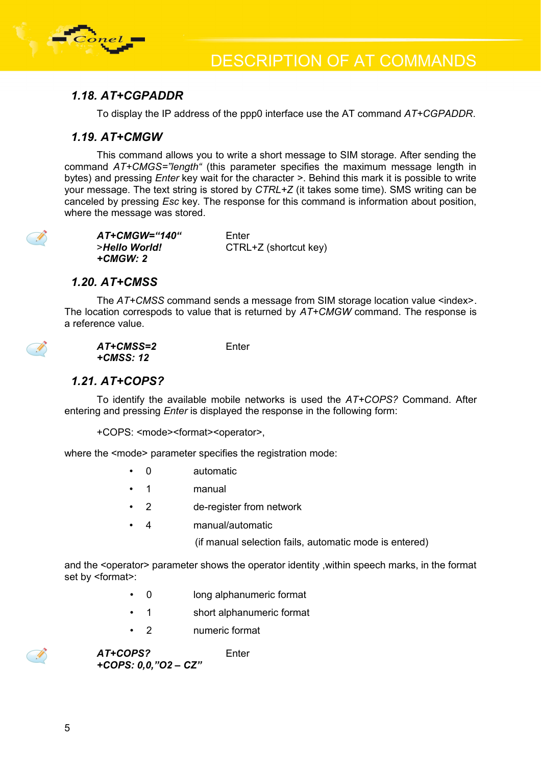

#### *1.18. AT+CGPADDR*

To display the IP address of the ppp0 interface use the AT command *AT+CGPADDR*.

#### *1.19. AT+CMGW*

This command allows you to write a short message to SIM storage. After sending the command *AT+CMGS="length"* (this parameter specifies the maximum message length in bytes) and pressing *Enter* key wait for the character >. Behind this mark it is possible to write your message. The text string is stored by *CTRL+Z* (it takes some time). SMS writing can be canceled by pressing *Esc* key. The response for this command is information about position, where the message was stored.

| AT+CMGW="140" | Enter                 |
|---------------|-----------------------|
| >Hello World! | CTRL+Z (shortcut key) |
| +CMGW: 2      |                       |

#### *1.20. AT+CMSS*

The AT+CMSS command sends a message from SIM storage location value <index>. The location correspods to value that is returned by *AT+CMGW* command. The response is a reference value.

Enter



| AT+CMSS=2 |  |
|-----------|--|
| +CMSS: 12 |  |

#### *1.21. AT+COPS?*

To identify the available mobile networks is used the *AT+COPS?* Command. After entering and pressing *Enter* is displayed the response in the following form:

+COPS: <mode><format><operator>,

where the <mode> parameter specifies the registration mode:

- 0 automatic
- 1 manual
- 2 de-register from network
- 4 manual/automatic

(if manual selection fails, automatic mode is entered)

and the <operator> parameter shows the operator identity ,within speech marks, in the format set by <format>:

- 0 long alphanumeric format
- 1 short alphanumeric format
- 2 numeric format

*AT+COPS?* Enter *+COPS: 0,0,"O2 – CZ"*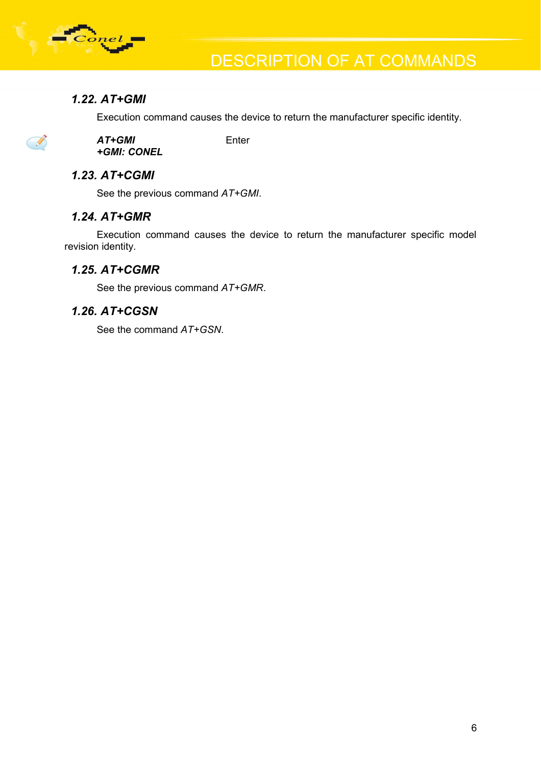

I

#### *1.22. AT+GMI*

Execution command causes the device to return the manufacturer specific identity.

*AT+GMI* Enter *+GMI: CONEL*

#### *1.23. AT+CGMI*

See the previous command *AT+GMI*.

#### *1.24. AT+GMR*

Execution command causes the device to return the manufacturer specific model revision identity.

#### *1.25. AT+CGMR*

See the previous command *AT+GMR*.

#### *1.26. AT+CGSN*

See the command *AT+GSN*.